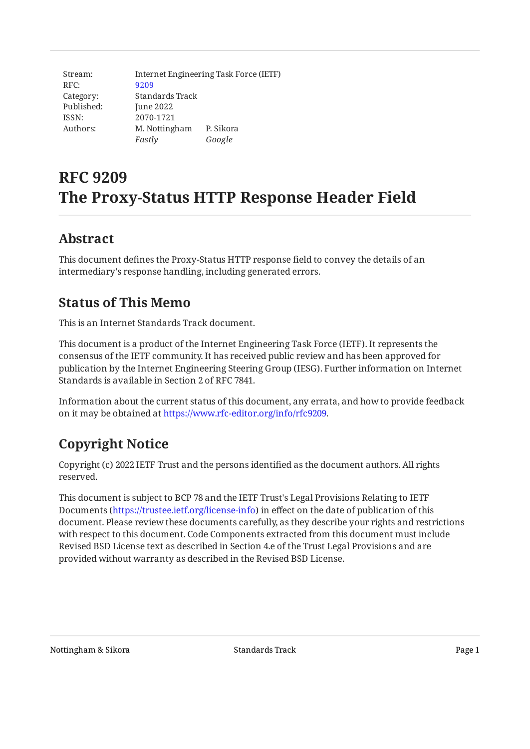| Stream:    | Internet Engineering Task Force (IETF) |           |
|------------|----------------------------------------|-----------|
| RFC:       | 9209                                   |           |
| Category:  | Standards Track                        |           |
| Published: | June 2022                              |           |
| ISSN:      | 2070-1721                              |           |
| Authors:   | M. Nottingham                          | P. Sikora |
|            | Fastly                                 | Google    |

# **RFC 9209 The Proxy-Status HTTP Response Header Field**

# <span id="page-0-0"></span>**[Abstract](#page-0-0)**

<span id="page-0-1"></span>This document defines the Proxy-Status HTTP response field to convey the details of an intermediary's response handling, including generated errors.

# **[Status of This Memo](#page-0-1)**

This is an Internet Standards Track document.

This document is a product of the Internet Engineering Task Force (IETF). It represents the consensus of the IETF community. It has received public review and has been approved for publication by the Internet Engineering Steering Group (IESG). Further information on Internet Standards is available in Section 2 of RFC 7841.

Information about the current status of this document, any errata, and how to provide feedback on it may be obtained at [https://www.rfc-editor.org/info/rfc9209.](https://www.rfc-editor.org/info/rfc9209)

# <span id="page-0-2"></span>**[Copyright Notice](#page-0-2)**

Copyright (c) 2022 IETF Trust and the persons identified as the document authors. All rights reserved.

This document is subject to BCP 78 and the IETF Trust's Legal Provisions Relating to IETF Documents (<https://trustee.ietf.org/license-info>) in effect on the date of publication of this document. Please review these documents carefully, as they describe your rights and restrictions with respect to this document. Code Components extracted from this document must include Revised BSD License text as described in Section 4.e of the Trust Legal Provisions and are provided without warranty as described in the Revised BSD License.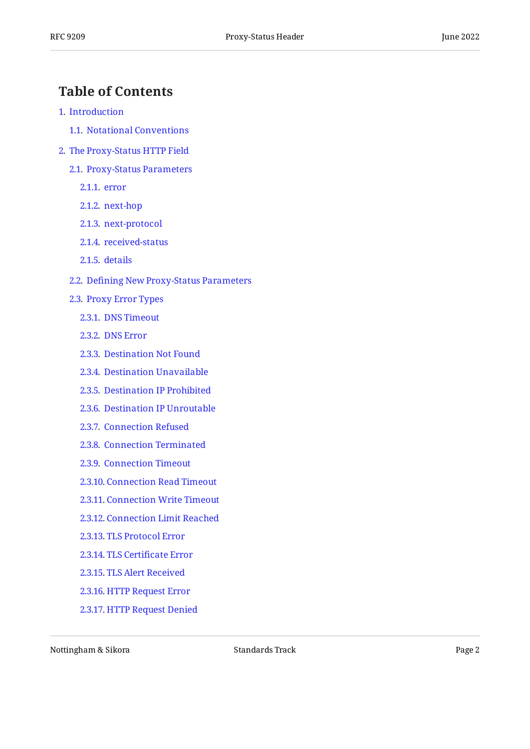## <span id="page-1-0"></span>**[Table of Contents](#page-1-0)**

- [1](#page-2-0). [Introduction](#page-2-0)
	- [1.1.](#page-3-0) [Notational Conventions](#page-3-0)
- [2](#page-3-1). [The Proxy-Status HTTP Field](#page-3-1)
	- [2.1.](#page-5-0) [Proxy-Status Parameters](#page-5-0)
		- [2.1.1](#page-5-1). [error](#page-5-1)
		- [2.1.2](#page-6-0). [next-hop](#page-6-0)
		- [2.1.3](#page-6-1). [next-protocol](#page-6-1)
		- [2.1.4](#page-7-0). [received-status](#page-7-0)
		- [2.1.5](#page-7-1). [details](#page-7-1)
	- [2.2.](#page-7-2) Defi[ning New Proxy-Status Parameters](#page-7-2)
	- [2.3.](#page-8-0) [Proxy Error Types](#page-8-0)
		- [2.3.1](#page-8-1). [DNS Timeout](#page-8-1)
		- [2.3.2](#page-8-2). [DNS Error](#page-8-2)
		- [2.3.3](#page-9-0). [Destination Not Found](#page-9-0)
		- [2.3.4](#page-9-1). [Destination Unavailable](#page-9-1)
		- [2.3.5](#page-9-2). [Destination IP Prohibited](#page-9-2)
		- [2.3.6](#page-9-3). [Destination IP Unroutable](#page-9-3)
		- [2.3.7](#page-10-0). [Connection Refused](#page-10-0)
		- [2.3.8](#page-10-1). [Connection Terminated](#page-10-1)
		- [2.3.9](#page-10-2). [Connection Timeout](#page-10-2)
		- [2.3.10.](#page-11-0) [Connection Read Timeout](#page-11-0)
		- [2.3.11.](#page-11-1) [Connection Write Timeout](#page-11-1)
		- [2.3.12.](#page-11-2) [Connection Limit Reached](#page-11-2)
		- [2.3.13.](#page-11-3) [TLS Protocol Error](#page-11-3)
		- [2.3.14.](#page-12-0) TLS Certifi[cate Error](#page-12-0)
		- [2.3.15.](#page-12-1) [TLS Alert Received](#page-12-1)
		- [2.3.16.](#page-12-2) [HTTP Request Error](#page-12-2)
		- [2.3.17.](#page-13-0) [HTTP Request Denied](#page-13-0)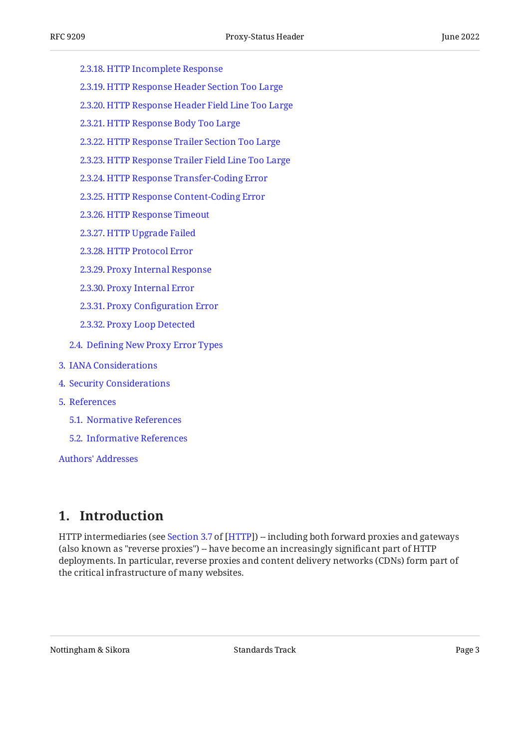- [2.3.18.](#page-13-1) [HTTP Incomplete Response](#page-13-1)
- [2.3.19.](#page-13-2) [HTTP Response Header Section Too Large](#page-13-2)
- [2.3.20.](#page-14-0) [HTTP Response Header Field Line Too Large](#page-14-0)
- [2.3.21.](#page-14-1) [HTTP Response Body Too Large](#page-14-1)
- [2.3.22.](#page-14-2) [HTTP Response Trailer Section Too Large](#page-14-2)
- [2.3.23.](#page-15-0) [HTTP Response Trailer Field Line Too Large](#page-15-0)
- [2.3.24.](#page-15-1) [HTTP Response Transfer-Coding Error](#page-15-1)
- [2.3.25.](#page-15-2) [HTTP Response Content-Coding Error](#page-15-2)
- [2.3.26.](#page-16-0) [HTTP Response Timeout](#page-16-0)
- [2.3.27.](#page-16-1) [HTTP Upgrade Failed](#page-16-1)
- [2.3.28.](#page-16-2) [HTTP Protocol Error](#page-16-2)
- [2.3.29.](#page-17-0) [Proxy Internal Response](#page-17-0)
- [2.3.30.](#page-17-1) [Proxy Internal Error](#page-17-1)
- [2.3.31.](#page-17-2) Proxy Confi[guration Error](#page-17-2)
- [2.3.32.](#page-17-3) [Proxy Loop Detected](#page-17-3)
- [2.4.](#page-18-0) Defi[ning New Proxy Error Types](#page-18-0)
- [3](#page-19-0). [IANA Considerations](#page-19-0)
- [4](#page-19-1). [Security Considerations](#page-19-1)
- [5](#page-19-2). [References](#page-19-2)
	- [5.1.](#page-19-3) [Normative References](#page-19-3)
	- [5.2.](#page-20-0) [Informative References](#page-20-0)

[Authors' Addresses](#page-20-1)

# <span id="page-2-0"></span>**[1. Introduction](#page-2-0)**

HTTPintermediaries (see Section 3.7 of [HTTP]) -- including both forward proxies and gateways (also known as "reverse proxies") -- have become an increasingly significant part of HTTP deployments. In particular, reverse proxies and content delivery networks (CDNs) form part of the critical infrastructure of many websites.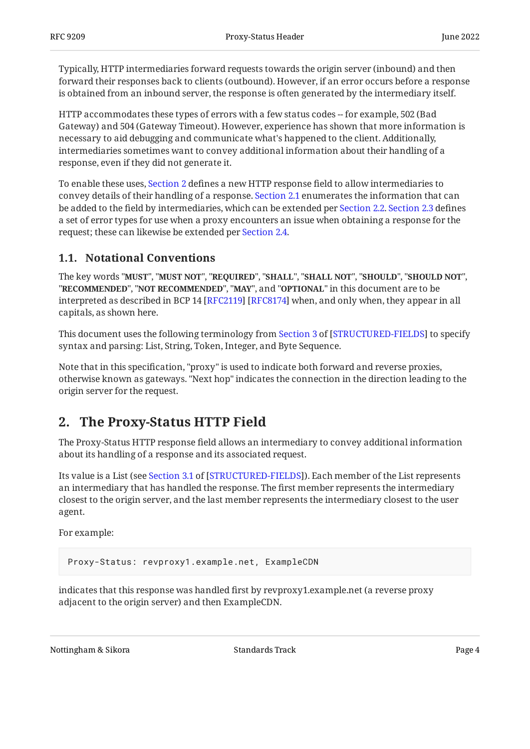Typically, HTTP intermediaries forward requests towards the origin server (inbound) and then forward their responses back to clients (outbound). However, if an error occurs before a response is obtained from an inbound server, the response is often generated by the intermediary itself.

HTTP accommodates these types of errors with a few status codes -- for example, 502 (Bad Gateway) and 504 (Gateway Timeout). However, experience has shown that more information is necessary to aid debugging and communicate what's happened to the client. Additionally, intermediaries sometimes want to convey additional information about their handling of a response, even if they did not generate it.

To enable these uses, [Section 2](#page-3-1) defines a new HTTP response field to allow intermediaries to convey details of their handling of a response. [Section 2.1](#page-5-0) enumerates the information that can be added to the field by intermediaries, which can be extended per [Section 2.2.](#page-7-2) [Section 2.3](#page-8-0) defines a set of error types for use when a proxy encounters an issue when obtaining a response for the request; these can likewise be extended per [Section 2.4](#page-18-0).

### <span id="page-3-0"></span>**[1.1. Notational Conventions](#page-3-0)**

The key words "MUST", "MUST NOT", "REQUIRED", "SHALL", "SHALL NOT", "SHOULD", "SHOULD NOT", "**RECOMMENDED", "NOT RECOMMENDED", "MAY",** and "OPTIONAL" in this document are to be interpreted as described in BCP 14 [RFC2119] [RFC8174] when, and only when, they appear in all capitals, as shown here.

Thisdocument uses the following terminology from Section 3 of [STRUCTURED-FIELDS] to specify syntax and parsing: List, String, Token, Integer, and Byte Sequence.

Note that in this specification, "proxy" is used to indicate both forward and reverse proxies, otherwise known as gateways. "Next hop" indicates the connection in the direction leading to the origin server for the request.

# <span id="page-3-1"></span>**[2. The Proxy-Status HTTP Field](#page-3-1)**

The Proxy-Status HTTP response field allows an intermediary to convey additional information about its handling of a response and its associated request.

Itsvalue is a List (see Section 3.1 of [STRUCTURED-FIELDS]). Each member of the List represents an intermediary that has handled the response. The first member represents the intermediary closest to the origin server, and the last member represents the intermediary closest to the user agent.

For example:

```
Proxy-Status: revproxy1.example.net, ExampleCDN
```
indicates that this response was handled first by revproxy1.example.net (a reverse proxy adjacent to the origin server) and then ExampleCDN.

Nottingham & Sikora Nottingham & Sikora Standards Track Page 4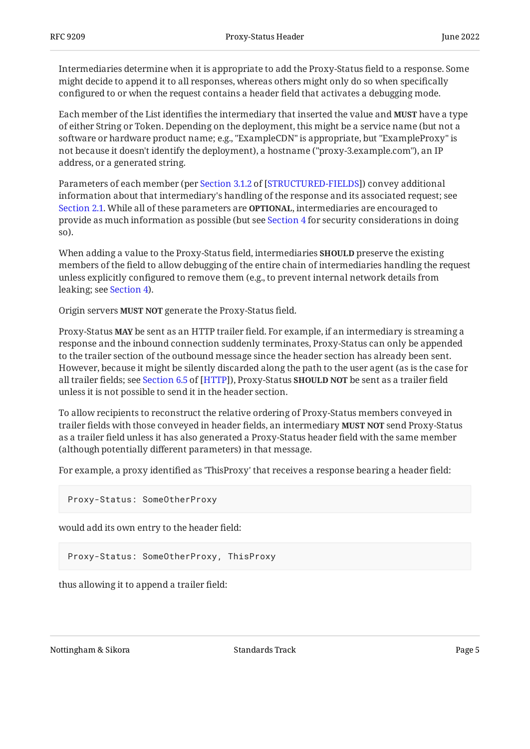Intermediaries determine when it is appropriate to add the Proxy-Status field to a response. Some might decide to append it to all responses, whereas others might only do so when specifically configured to or when the request contains a header field that activates a debugging mode.

Each member of the List identifies the intermediary that inserted the value and **MUST** have a type of either String or Token. Depending on the deployment, this might be a service name (but not a software or hardware product name; e.g., "ExampleCDN" is appropriate, but "ExampleProxy" is not because it doesn't identify the deployment), a hostname ("proxy-3.example.com"), an IP address, or a generated string.

Parametersof each member (per Section 3.1.2 of [STRUCTURED-FIELDS]) convey additional information about that intermediary's handling of the response and its associated request; see [Section 2.1](#page-5-0). While all of these parameters are **OPTIONAL**, intermediaries are encouraged to provide as much information as possible (but see [Section 4](#page-19-1) for security considerations in doing so).

When adding a value to the Proxy-Status field, intermediaries **SHOULD** preserve the existing members of the field to allow debugging of the entire chain of intermediaries handling the request unless explicitly configured to remove them (e.g., to prevent internal network details from leaking; see [Section 4\)](#page-19-1).

Origin servers MUST NOT generate the Proxy-Status field.

Proxy-Status **MAY** be sent as an HTTP trailer field. For example, if an intermediary is streaming a response and the inbound connection suddenly terminates, Proxy-Status can only be appended to the trailer section of the outbound message since the header section has already been sent. However, because it might be silently discarded along the path to the user agent (as is the case for alltrailer fields; see Section 6.5 of [HTTP]), Proxy-Status **SHOULD NOT** be sent as a trailer field unless it is not possible to send it in the header section.

To allow recipients to reconstruct the relative ordering of Proxy-Status members conveyed in trailer fields with those conveyed in header fields, an intermediary **MUST NOT** send Proxy-Status as a trailer field unless it has also generated a Proxy-Status header field with the same member (although potentially different parameters) in that message.

For example, a proxy identified as 'ThisProxy' that receives a response bearing a header field:

Proxy-Status: SomeOtherProxy

would add its own entry to the header field:

Proxy-Status: SomeOtherProxy, ThisProxy

thus allowing it to append a trailer field: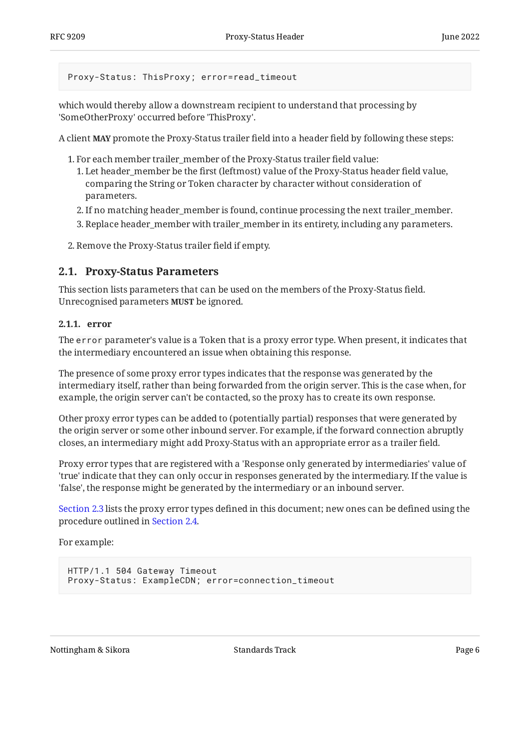Proxy-Status: ThisProxy; error=read\_timeout

which would thereby allow a downstream recipient to understand that processing by 'SomeOtherProxy' occurred before 'ThisProxy'.

A client **MAY** promote the Proxy-Status trailer field into a header field by following these steps:

- 1. For each member trailer\_member of the Proxy-Status trailer field value:
	- Let header\_member be the first (leftmost) value of the Proxy-Status header field value, 1. comparing the String or Token character by character without consideration of parameters.
	- 2. If no matching header\_member is found, continue processing the next trailer\_member.
	- 3. Replace header\_member with trailer\_member in its entirety, including any parameters.
- <span id="page-5-0"></span>2. Remove the Proxy-Status trailer field if empty.

### **[2.1. Proxy-Status Parameters](#page-5-0)**

This section lists parameters that can be used on the members of the Proxy-Status field. Unrecognised parameters **MUST** be ignored.

#### <span id="page-5-1"></span>**[2.1.1. error](#page-5-1)**

The error parameter's value is a Token that is a proxy error type. When present, it indicates that the intermediary encountered an issue when obtaining this response.

The presence of some proxy error types indicates that the response was generated by the intermediary itself, rather than being forwarded from the origin server. This is the case when, for example, the origin server can't be contacted, so the proxy has to create its own response.

Other proxy error types can be added to (potentially partial) responses that were generated by the origin server or some other inbound server. For example, if the forward connection abruptly closes, an intermediary might add Proxy-Status with an appropriate error as a trailer field.

Proxy error types that are registered with a 'Response only generated by intermediaries' value of 'true' indicate that they can only occur in responses generated by the intermediary. If the value is 'false', the response might be generated by the intermediary or an inbound server.

[Section 2.3](#page-8-0) lists the proxy error types defined in this document; new ones can be defined using the procedure outlined in [Section 2.4](#page-18-0).

For example:

```
HTTP/1.1 504 Gateway Timeout
Proxy-Status: ExampleCDN; error=connection_timeout
```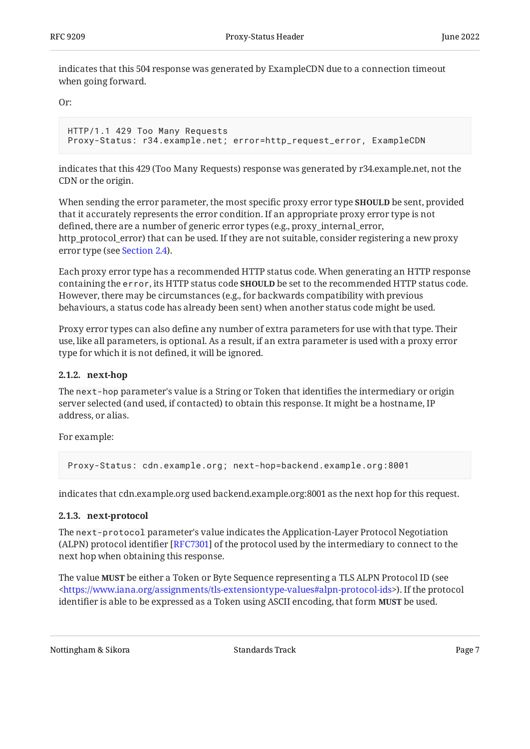indicates that this 504 response was generated by ExampleCDN due to a connection timeout when going forward.

Or:

```
HTTP/1.1 429 Too Many Requests
Proxy-Status: r34.example.net; error=http_request_error, ExampleCDN
```
indicates that this 429 (Too Many Requests) response was generated by r34.example.net, not the CDN or the origin.

When sending the error parameter, the most specific proxy error type **SHOULD** be sent, provided that it accurately represents the error condition. If an appropriate proxy error type is not defined, there are a number of generic error types (e.g., proxy\_internal\_error, http\_protocol\_error) that can be used. If they are not suitable, consider registering a new proxy error type (see [Section 2.4](#page-18-0)).

Each proxy error type has a recommended HTTP status code. When generating an HTTP response containing the error, its HTTP status code **SHOULD** be set to the recommended HTTP status code. However, there may be circumstances (e.g., for backwards compatibility with previous behaviours, a status code has already been sent) when another status code might be used.

Proxy error types can also define any number of extra parameters for use with that type. Their use, like all parameters, is optional. As a result, if an extra parameter is used with a proxy error type for which it is not defined, it will be ignored.

#### <span id="page-6-0"></span>**[2.1.2. next-hop](#page-6-0)**

The next-hop parameter's value is a String or Token that identifies the intermediary or origin server selected (and used, if contacted) to obtain this response. It might be a hostname, IP address, or alias.

For example:

Proxy-Status: cdn.example.org; next-hop=backend.example.org:8001

<span id="page-6-1"></span>indicates that cdn.example.org used backend.example.org:8001 as the next hop for this request.

#### **[2.1.3. next-protocol](#page-6-1)**

The next-protocol parameter's value indicates the Application-Layer Protocol Negotiation (ALPN) protocol identifier [RFC7301] of the protocol used by the intermediary to connect to the next hop when obtaining this response.

The value **MUST** be either a Token or Byte Sequence representing a TLS ALPN Protocol ID (see ). If the protocol [<https://www.iana.org/assignments/tls-extensiontype-values#alpn-protocol-ids](https://www.iana.org/assignments/tls-extensiontype-values#alpn-protocol-ids)> identifier is able to be expressed as a Token using ASCII encoding, that form **MUST** be used.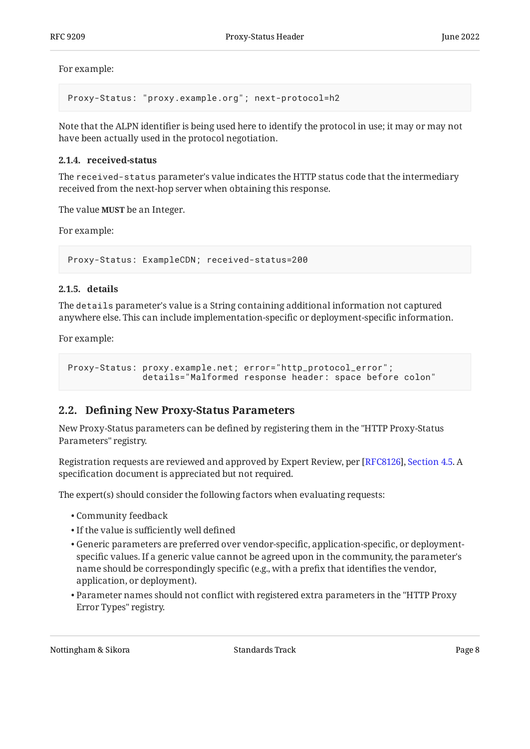For example:

Proxy-Status: "proxy.example.org"; next-protocol=h2

Note that the ALPN identifier is being used here to identify the protocol in use; it may or may not have been actually used in the protocol negotiation.

#### <span id="page-7-0"></span>**[2.1.4. received-status](#page-7-0)**

The received-status parameter's value indicates the HTTP status code that the intermediary received from the next-hop server when obtaining this response.

The value **MUST** be an Integer.

For example:

Proxy-Status: ExampleCDN; received-status=200

#### <span id="page-7-1"></span>**[2.1.5. details](#page-7-1)**

The details parameter's value is a String containing additional information not captured anywhere else. This can include implementation-specific or deployment-specific information.

For example:

```
Proxy-Status: proxy.example.net; error="http_protocol_error";
               details="Malformed response header: space before colon"
```
### <span id="page-7-2"></span>**[2.2. D](#page-7-2)efi[ning New Proxy-Status Parameters](#page-7-2)**

New Proxy-Status parameters can be defined by registering them in the "HTTP Proxy-Status Parameters" registry.

Registration requests are reviewed and approved by Expert Review, per [\[RFC8126\]](#page-20-7), [Section 4.5](https://www.rfc-editor.org/rfc/rfc8126#section-4.5). A specification document is appreciated but not required.

The expert(s) should consider the following factors when evaluating requests:

- Community feedback •
- $\bullet$  If the value is sufficiently well defined
- $\bullet$  Generic parameters are preferred over vendor-specific, application-specific, or deploymentspecific values. If a generic value cannot be agreed upon in the community, the parameter's name should be correspondingly specific (e.g., with a prefix that identifies the vendor, application, or deployment).
- $\bullet$  Parameter names should not conflict with registered extra parameters in the "HTTP Proxy Error Types" registry.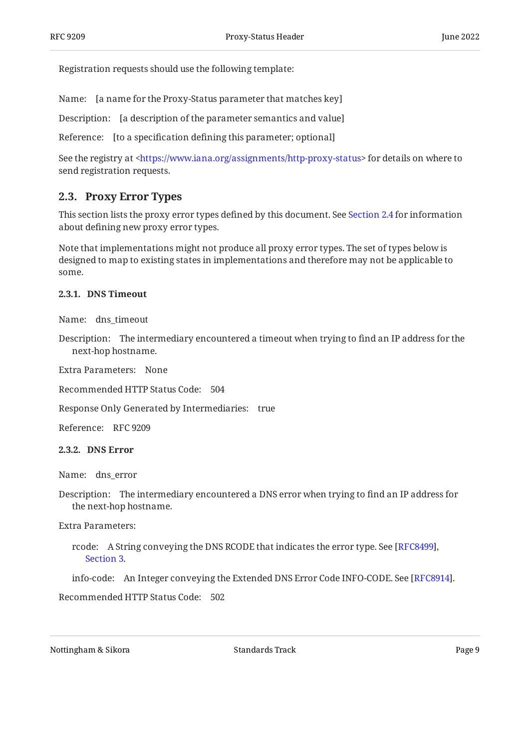Registration requests should use the following template:

Name: [a name for the Proxy-Status parameter that matches key]

Description: [a description of the parameter semantics and value]

Reference: [to a specification defining this parameter; optional]

See the registry at <https://www.iana.org/assignments/http-proxy-status> for details on where to send registration requests.

### <span id="page-8-0"></span>**[2.3. Proxy Error Types](#page-8-0)**

This section lists the proxy error types defined by this document. See [Section 2.4](#page-18-0) for information about defining new proxy error types.

Note that implementations might not produce all proxy error types. The set of types below is designed to map to existing states in implementations and therefore may not be applicable to some.

#### <span id="page-8-1"></span>**[2.3.1. DNS Timeout](#page-8-1)**

Name: dns\_timeout

Description: The intermediary encountered a timeout when trying to find an IP address for the next-hop hostname.

Extra Parameters: None

Recommended HTTP Status Code: 504

Response Only Generated by Intermediaries: true

<span id="page-8-2"></span>Reference: RFC 9209

**[2.3.2. DNS Error](#page-8-2)** 

Name: dns\_error

Description: The intermediary encountered a DNS error when trying to find an IP address for the next-hop hostname.

Extra Parameters:

rcode: A String conveying the DNS RCODE that indicates the error type. See [\[RFC8499\]](#page-20-8), . [Section 3](https://www.rfc-editor.org/rfc/rfc8499#section-3)

info-code: An Integer conveying the Extended DNS Error Code INFO-CODE. See [RFC8914].

Recommended HTTP Status Code: 502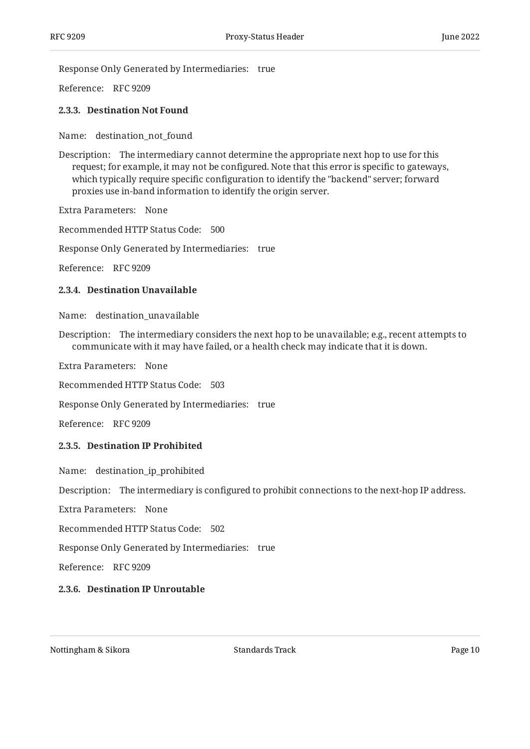Response Only Generated by Intermediaries: true

<span id="page-9-0"></span>Reference: RFC 9209

#### **[2.3.3. Destination Not Found](#page-9-0)**

Name: destination\_not\_found

Description: The intermediary cannot determine the appropriate next hop to use for this request; for example, it may not be configured. Note that this error is specific to gateways, which typically require specific configuration to identify the "backend" server; forward proxies use in-band information to identify the origin server.

Extra Parameters: None

Recommended HTTP Status Code: 500

Response Only Generated by Intermediaries: true

<span id="page-9-1"></span>Reference: RFC 9209

#### **[2.3.4. Destination Unavailable](#page-9-1)**

Name: destination\_unavailable

Description: The intermediary considers the next hop to be unavailable; e.g., recent attempts to communicate with it may have failed, or a health check may indicate that it is down.

Extra Parameters: None

Recommended HTTP Status Code: 503

Response Only Generated by Intermediaries: true

<span id="page-9-2"></span>Reference: RFC 9209

#### **[2.3.5. Destination IP Prohibited](#page-9-2)**

Name: destination\_ip\_prohibited

Description: The intermediary is configured to prohibit connections to the next-hop IP address.

Extra Parameters: None

Recommended HTTP Status Code: 502

Response Only Generated by Intermediaries: true

<span id="page-9-3"></span>Reference: RFC 9209

#### **[2.3.6. Destination IP Unroutable](#page-9-3)**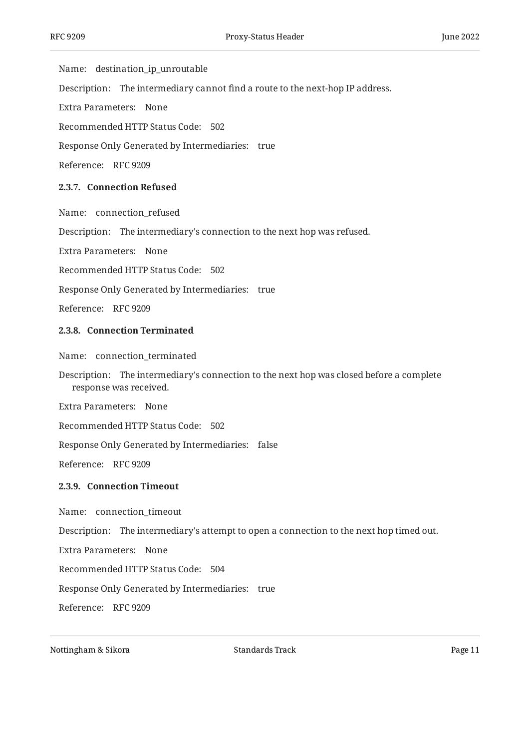Name: destination\_ip\_unroutable

Description: The intermediary cannot find a route to the next-hop IP address.

Extra Parameters: None

Recommended HTTP Status Code: 502

Response Only Generated by Intermediaries: true

<span id="page-10-0"></span>Reference: RFC 9209

#### **[2.3.7. Connection Refused](#page-10-0)**

Name: connection\_refused

Description: The intermediary's connection to the next hop was refused.

Extra Parameters: None

Recommended HTTP Status Code: 502

Response Only Generated by Intermediaries: true

<span id="page-10-1"></span>Reference: RFC 9209

#### **[2.3.8. Connection Terminated](#page-10-1)**

Name: connection\_terminated

Description: The intermediary's connection to the next hop was closed before a complete response was received.

Extra Parameters: None

Recommended HTTP Status Code: 502

Response Only Generated by Intermediaries: false

<span id="page-10-2"></span>Reference: RFC 9209

#### **[2.3.9. Connection Timeout](#page-10-2)**

Name: connection\_timeout

Description: The intermediary's attempt to open a connection to the next hop timed out.

Extra Parameters: None

Recommended HTTP Status Code: 504

Response Only Generated by Intermediaries: true

Reference: RFC 9209

Nottingham & Sikora Nottingham & Sikora Standards Track Page 11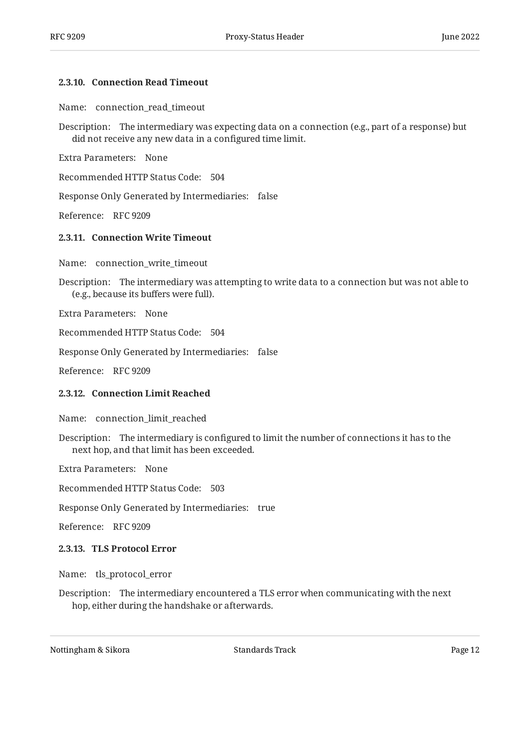#### <span id="page-11-0"></span>**[2.3.10. Connection Read Timeout](#page-11-0)**

Name: connection\_read\_timeout

Description: The intermediary was expecting data on a connection (e.g., part of a response) but did not receive any new data in a configured time limit.

Extra Parameters: None

Recommended HTTP Status Code: 504

Response Only Generated by Intermediaries: false

<span id="page-11-1"></span>Reference: RFC 9209

#### **[2.3.11. Connection Write Timeout](#page-11-1)**

Name: connection\_write\_timeout

Description: The intermediary was attempting to write data to a connection but was not able to (e.g., because its buffers were full).

Extra Parameters: None

Recommended HTTP Status Code: 504

Response Only Generated by Intermediaries: false

<span id="page-11-2"></span>Reference: RFC 9209

#### **[2.3.12. Connection Limit Reached](#page-11-2)**

Name: connection\_limit\_reached

Description: The intermediary is configured to limit the number of connections it has to the next hop, and that limit has been exceeded.

Extra Parameters: None

Recommended HTTP Status Code: 503

Response Only Generated by Intermediaries: true

<span id="page-11-3"></span>Reference: RFC 9209

#### **[2.3.13. TLS Protocol Error](#page-11-3)**

Name: tls\_protocol\_error

Description: The intermediary encountered a TLS error when communicating with the next hop, either during the handshake or afterwards.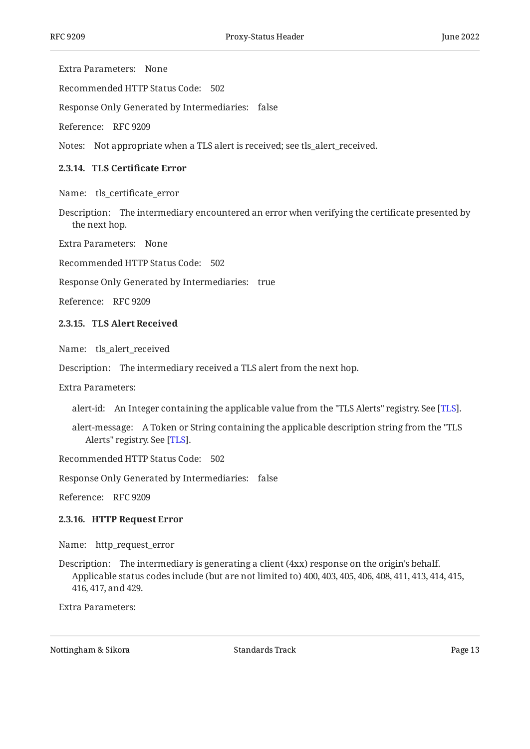Extra Parameters: None

Recommended HTTP Status Code: 502

Response Only Generated by Intermediaries: false

Reference: RFC 9209

<span id="page-12-0"></span>Notes: Not appropriate when a TLS alert is received; see tls\_alert\_received.

#### **[2.3.14.](#page-12-0) TLS Certifi[cate Error](#page-12-0)**

Name: tls\_certificate\_error

Description: The intermediary encountered an error when verifying the certificate presented by the next hop.

Extra Parameters: None

Recommended HTTP Status Code: 502

Response Only Generated by Intermediaries: true

<span id="page-12-1"></span>Reference: RFC 9209

#### **[2.3.15. TLS Alert Received](#page-12-1)**

Name: tls\_alert\_received

Description: The intermediary received a TLS alert from the next hop.

Extra Parameters:

alert-id: An Integer containing the applicable value from the "TLS Alerts" registry. See [\[TLS](#page-20-10)].

alert-message: A Token or String containing the applicable description string from the "TLS Alerts" registry. See [TLS].

Recommended HTTP Status Code: 502

Response Only Generated by Intermediaries: false

<span id="page-12-2"></span>Reference: RFC 9209

#### **[2.3.16. HTTP Request Error](#page-12-2)**

Name: http\_request\_error

Description: The intermediary is generating a client (4xx) response on the origin's behalf. Applicable status codes include (but are not limited to) 400, 403, 405, 406, 408, 411, 413, 414, 415, 416, 417, and 429.

Extra Parameters: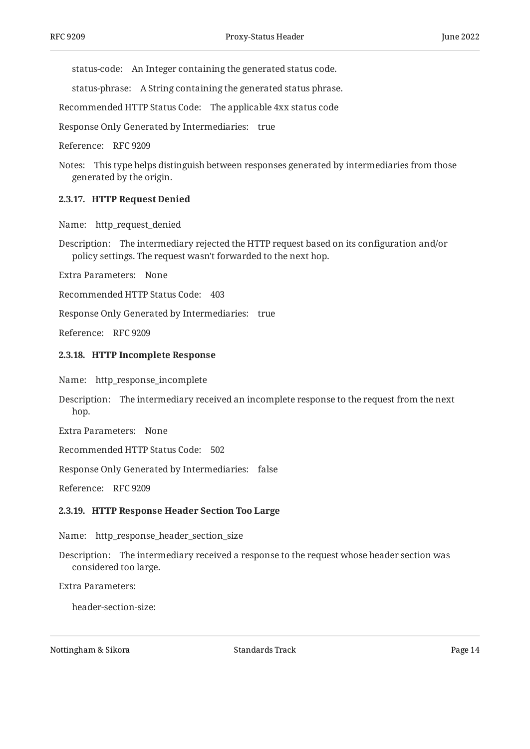status-code: An Integer containing the generated status code.

status-phrase: A String containing the generated status phrase.

Recommended HTTP Status Code: The applicable 4xx status code

Response Only Generated by Intermediaries: true

Reference: RFC 9209

Notes: This type helps distinguish between responses generated by intermediaries from those generated by the origin.

#### <span id="page-13-0"></span>**[2.3.17. HTTP Request Denied](#page-13-0)**

Name: http\_request\_denied

Description: The intermediary rejected the HTTP request based on its configuration and/or policy settings. The request wasn't forwarded to the next hop.

Extra Parameters: None

Recommended HTTP Status Code: 403

Response Only Generated by Intermediaries: true

<span id="page-13-1"></span>Reference: RFC 9209

#### **[2.3.18. HTTP Incomplete Response](#page-13-1)**

Name: http\_response\_incomplete

Description: The intermediary received an incomplete response to the request from the next hop.

Extra Parameters: None

Recommended HTTP Status Code: 502

Response Only Generated by Intermediaries: false

<span id="page-13-2"></span>Reference: RFC 9209

#### **[2.3.19. HTTP Response Header Section Too Large](#page-13-2)**

Name: http\_response\_header\_section\_size

Description: The intermediary received a response to the request whose header section was considered too large.

Extra Parameters:

header-section-size: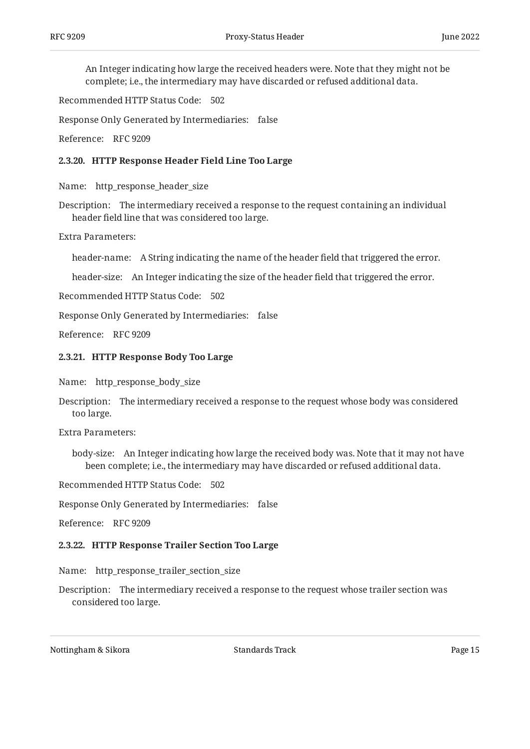An Integer indicating how large the received headers were. Note that they might not be complete; i.e., the intermediary may have discarded or refused additional data.

Recommended HTTP Status Code: 502

Response Only Generated by Intermediaries: false

<span id="page-14-0"></span>Reference: RFC 9209

#### **[2.3.20. HTTP Response Header Field Line Too Large](#page-14-0)**

Name: http\_response\_header\_size

Description: The intermediary received a response to the request containing an individual header field line that was considered too large.

Extra Parameters:

header-name: A String indicating the name of the header field that triggered the error.

header-size: An Integer indicating the size of the header field that triggered the error.

Recommended HTTP Status Code: 502

Response Only Generated by Intermediaries: false

<span id="page-14-1"></span>Reference: RFC 9209

#### **[2.3.21. HTTP Response Body Too Large](#page-14-1)**

Name: http\_response\_body\_size

Description: The intermediary received a response to the request whose body was considered too large.

Extra Parameters:

body-size: An Integer indicating how large the received body was. Note that it may not have been complete; i.e., the intermediary may have discarded or refused additional data.

Recommended HTTP Status Code: 502

Response Only Generated by Intermediaries: false

<span id="page-14-2"></span>Reference: RFC 9209

#### **[2.3.22. HTTP Response Trailer Section Too Large](#page-14-2)**

Name: http\_response\_trailer\_section\_size

Description: The intermediary received a response to the request whose trailer section was considered too large.

Nottingham & Sikora Nottingham & Sikora Standards Track Page 15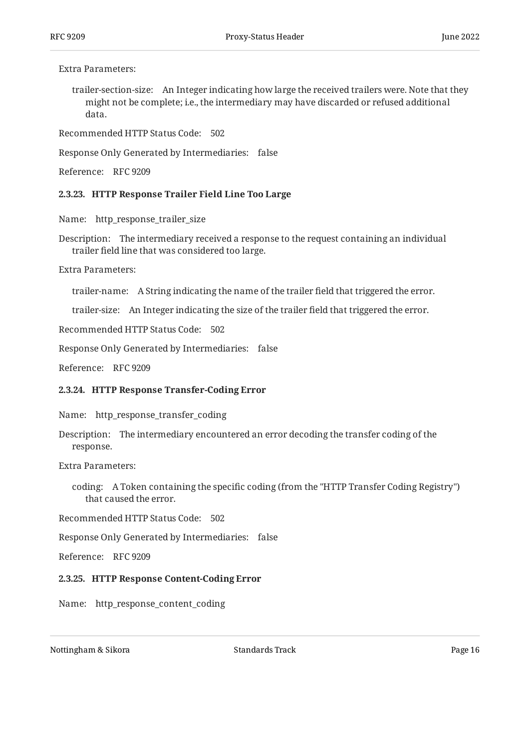#### Extra Parameters:

trailer-section-size: An Integer indicating how large the received trailers were. Note that they might not be complete; i.e., the intermediary may have discarded or refused additional data.

Recommended HTTP Status Code: 502

Response Only Generated by Intermediaries: false

<span id="page-15-0"></span>Reference: RFC 9209

#### **[2.3.23. HTTP Response Trailer Field Line Too Large](#page-15-0)**

Name: http\_response\_trailer\_size

Description: The intermediary received a response to the request containing an individual trailer field line that was considered too large.

Extra Parameters:

trailer-name: A String indicating the name of the trailer field that triggered the error.

trailer-size: An Integer indicating the size of the trailer field that triggered the error.

Recommended HTTP Status Code: 502

Response Only Generated by Intermediaries: false

<span id="page-15-1"></span>Reference: RFC 9209

#### **[2.3.24. HTTP Response Transfer-Coding Error](#page-15-1)**

Name: http\_response\_transfer\_coding

Description: The intermediary encountered an error decoding the transfer coding of the response.

Extra Parameters:

coding: A Token containing the specific coding (from the "HTTP Transfer Coding Registry") that caused the error.

Recommended HTTP Status Code: 502

Response Only Generated by Intermediaries: false

<span id="page-15-2"></span>Reference: RFC 9209

#### **[2.3.25. HTTP Response Content-Coding Error](#page-15-2)**

Name: http\_response\_content\_coding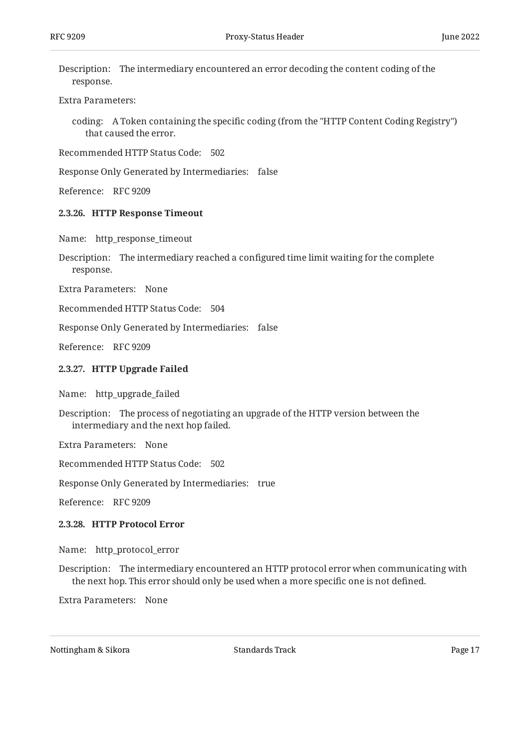Description: The intermediary encountered an error decoding the content coding of the response.

#### Extra Parameters:

coding: A Token containing the specific coding (from the "HTTP Content Coding Registry") that caused the error.

Recommended HTTP Status Code: 502

Response Only Generated by Intermediaries: false

<span id="page-16-0"></span>Reference: RFC 9209

#### **[2.3.26. HTTP Response Timeout](#page-16-0)**

Name: http\_response\_timeout

Description: The intermediary reached a configured time limit waiting for the complete response.

Extra Parameters: None

Recommended HTTP Status Code: 504

Response Only Generated by Intermediaries: false

<span id="page-16-1"></span>Reference: RFC 9209

#### **[2.3.27. HTTP Upgrade Failed](#page-16-1)**

Name: http\_upgrade\_failed

Description: The process of negotiating an upgrade of the HTTP version between the intermediary and the next hop failed.

Extra Parameters: None

Recommended HTTP Status Code: 502

Response Only Generated by Intermediaries: true

<span id="page-16-2"></span>Reference: RFC 9209

#### **[2.3.28. HTTP Protocol Error](#page-16-2)**

Name: http\_protocol\_error

Description: The intermediary encountered an HTTP protocol error when communicating with the next hop. This error should only be used when a more specific one is not defined.

Extra Parameters: None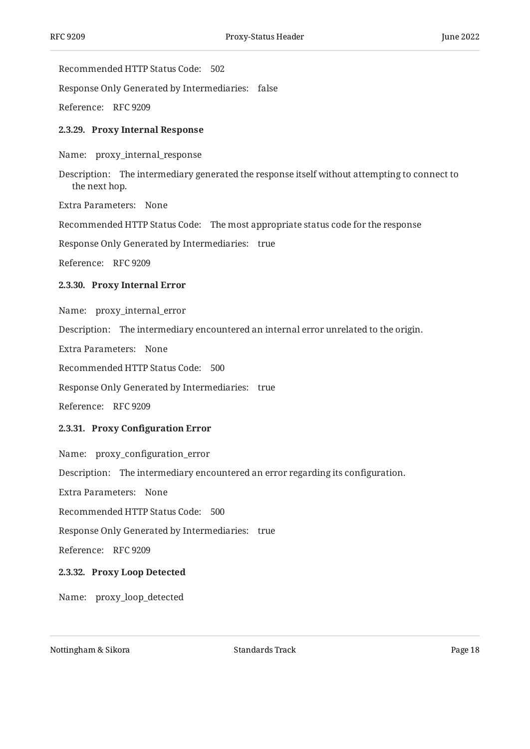Recommended HTTP Status Code: 502

Response Only Generated by Intermediaries: false

<span id="page-17-0"></span>Reference: RFC 9209

#### **[2.3.29. Proxy Internal Response](#page-17-0)**

Name: proxy\_internal\_response

Description: The intermediary generated the response itself without attempting to connect to the next hop.

Extra Parameters: None

Recommended HTTP Status Code: The most appropriate status code for the response

Response Only Generated by Intermediaries: true

<span id="page-17-1"></span>Reference: RFC 9209

#### **[2.3.30. Proxy Internal Error](#page-17-1)**

Name: proxy\_internal\_error

Description: The intermediary encountered an internal error unrelated to the origin.

Extra Parameters: None

Recommended HTTP Status Code: 500

Response Only Generated by Intermediaries: true

<span id="page-17-2"></span>Reference: RFC 9209

#### **[2.3.31.](#page-17-2) Proxy Confi[guration Error](#page-17-2)**

Name: proxy\_configuration\_error

Description: The intermediary encountered an error regarding its configuration.

Extra Parameters: None

Recommended HTTP Status Code: 500

Response Only Generated by Intermediaries: true

<span id="page-17-3"></span>Reference: RFC 9209

#### **[2.3.32. Proxy Loop Detected](#page-17-3)**

Name: proxy\_loop\_detected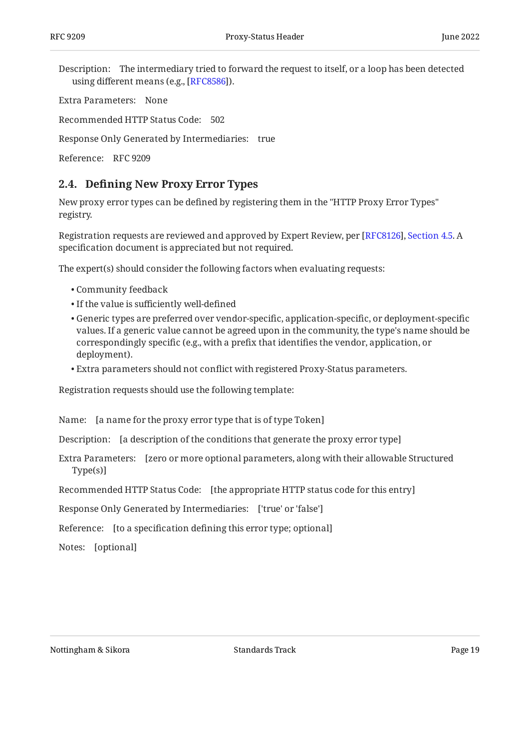Description: The intermediary tried to forward the request to itself, or a loop has been detected using different means (e.g., [RFC8586]).

Extra Parameters: None

Recommended HTTP Status Code: 502

Response Only Generated by Intermediaries: true

<span id="page-18-0"></span>Reference: RFC 9209

### **[2.4. D](#page-18-0)efi[ning New Proxy Error Types](#page-18-0)**

New proxy error types can be defined by registering them in the "HTTP Proxy Error Types" registry.

Registration requests are reviewed and approved by Expert Review, per [RFC8126], Section 4.5. A specification document is appreciated but not required.

The expert(s) should consider the following factors when evaluating requests:

- Community feedback •
- If the value is sufficiently well-defined
- Generic types are preferred over vendor-specific, application-specific, or deployment-specific values. If a generic value cannot be agreed upon in the community, the type's name should be correspondingly specific (e.g., with a prefix that identifies the vendor, application, or deployment).
- Extra parameters should not conflict with registered Proxy-Status parameters. •

Registration requests should use the following template:

Name: [a name for the proxy error type that is of type Token]

Description: [a description of the conditions that generate the proxy error type]

Extra Parameters: [zero or more optional parameters, along with their allowable Structured Type(s)]

Recommended HTTP Status Code: [the appropriate HTTP status code for this entry]

Response Only Generated by Intermediaries: ['true' or 'false']

Reference: [to a specification defining this error type; optional]

Notes: [optional]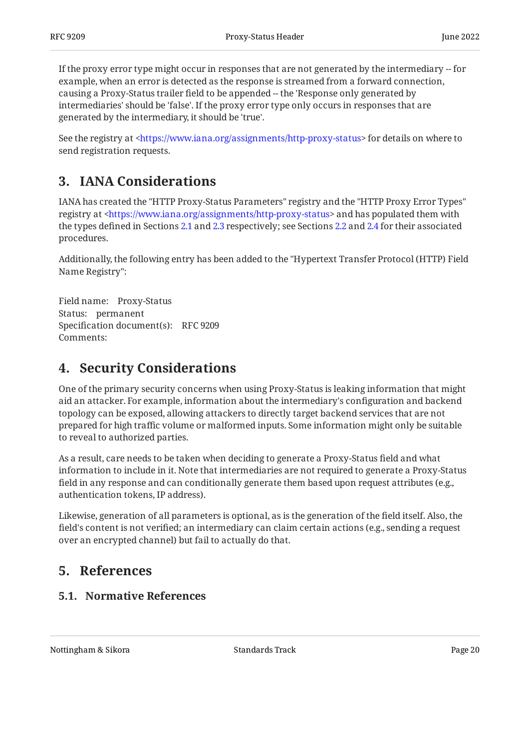If the proxy error type might occur in responses that are not generated by the intermediary  $-$  for example, when an error is detected as the response is streamed from a forward connection, causing a Proxy-Status trailer field to be appended -- the 'Response only generated by intermediaries' should be 'false'. If the proxy error type only occurs in responses that are generated by the intermediary, it should be 'true'.

See the registry at <https://www.iana.org/assignments/http-proxy-status> for details on where to send registration requests.

# <span id="page-19-0"></span>**[3. IANA Considerations](#page-19-0)**

IANA has created the "HTTP Proxy-Status Parameters" registry and the "HTTP Proxy Error Types" registry at <https://www.iana.org/assignments/http-proxy-status> and has populated them with the types defined in Sections [2.1](#page-5-0) and [2.3](#page-8-0) respectively; see Sections [2.2](#page-7-2) and [2.4](#page-18-0) for their associated procedures.

Additionally, the following entry has been added to the "Hypertext Transfer Protocol (HTTP) Field Name Registry":

Field name: Proxy-Status Status: permanent Specification document(s): RFC 9209 Comments:

# <span id="page-19-1"></span>**[4. Security Considerations](#page-19-1)**

One of the primary security concerns when using Proxy-Status is leaking information that might aid an attacker. For example, information about the intermediary's configuration and backend topology can be exposed, allowing attackers to directly target backend services that are not prepared for high traffic volume or malformed inputs. Some information might only be suitable to reveal to authorized parties.

As a result, care needs to be taken when deciding to generate a Proxy-Status field and what information to include in it. Note that intermediaries are not required to generate a Proxy-Status field in any response and can conditionally generate them based upon request attributes (e.g., authentication tokens, IP address).

Likewise, generation of all parameters is optional, as is the generation of the field itself. Also, the field's content is not verified; an intermediary can claim certain actions (e.g., sending a request over an encrypted channel) but fail to actually do that.

# <span id="page-19-3"></span><span id="page-19-2"></span>**[5. References](#page-19-2)**

### **[5.1. Normative References](#page-19-3)**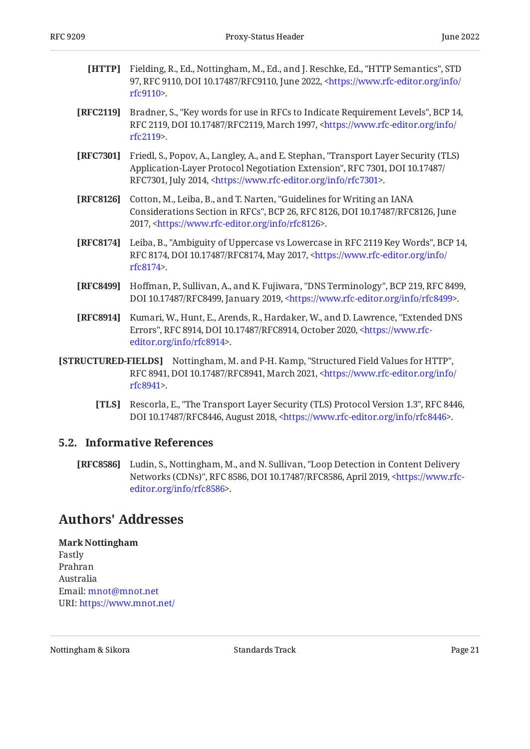- <span id="page-20-2"></span>**[HTTP]** Fielding, R., Ed., Nottingham, M., Ed., and J. Reschke, Ed., "HTTP Semantics", STD 97, RFC 9110, DOI 10.17487/RFC9110, June 2022, [<https://www.rfc-editor.org/info/](https://www.rfc-editor.org/info/rfc9110) . [rfc9110](https://www.rfc-editor.org/info/rfc9110)>
- <span id="page-20-3"></span>**[RFC2119]** Bradner, S., "Key words for use in RFCs to Indicate Requirement Levels", BCP 14, RFC 2119, DOI 10.17487/RFC2119, March 1997, [<https://www.rfc-editor.org/info/](https://www.rfc-editor.org/info/rfc2119) . [rfc2119](https://www.rfc-editor.org/info/rfc2119)>
- <span id="page-20-6"></span>**[RFC7301]** Friedl, S., Popov, A., Langley, A., and E. Stephan, "Transport Layer Security (TLS) Application-Layer Protocol Negotiation Extension", RFC 7301, DOI 10.17487/ RFC7301, July 2014, <https://www.rfc-editor.org/info/rfc7301>.
- <span id="page-20-7"></span>**[RFC8126]** Cotton, M., Leiba, B., and T. Narten, "Guidelines for Writing an IANA Considerations Section in RFCs", BCP 26, RFC 8126, DOI 10.17487/RFC8126, June 2017, <https://www.rfc-editor.org/info/rfc8126>.
- <span id="page-20-4"></span>**[RFC8174]** Leiba, B., "Ambiguity of Uppercase vs Lowercase in RFC 2119 Key Words", BCP 14, RFC 8174, DOI 10.17487/RFC8174, May 2017, <[https://www.rfc-editor.org/info/](https://www.rfc-editor.org/info/rfc8174) . [rfc8174](https://www.rfc-editor.org/info/rfc8174)>
- <span id="page-20-8"></span>**[RFC8499]** Hoffman, P., Sullivan, A., and K. Fujiwara, "DNS Terminology", BCP 219, RFC 8499, DOI 10.17487/RFC8499, January 2019, <https://www.rfc-editor.org/info/rfc8499>.
- <span id="page-20-9"></span>**[RFC8914]** Kumari, W., Hunt, E., Arends, R., Hardaker, W., and D. Lawrence, "Extended DNS Errors", RFC 8914, DOI 10.17487/RFC8914, October 2020, [<https://www.rfc-](https://www.rfc-editor.org/info/rfc8914). [editor.org/info/rfc8914](https://www.rfc-editor.org/info/rfc8914)>
- <span id="page-20-5"></span>**[STRUCTURED-FIELDS]** Nottingham, M. and P-H. Kamp, "Structured Field Values for HTTP", RFC 8941, DOI 10.17487/RFC8941, March 2021, [<https://www.rfc-editor.org/info/](https://www.rfc-editor.org/info/rfc8941) . [rfc8941](https://www.rfc-editor.org/info/rfc8941)>
	- **[TLS]** Rescorla, E., "The Transport Layer Security (TLS) Protocol Version 1.3", RFC 8446, DOI 10.17487/RFC8446, August 2018, <https://www.rfc-editor.org/info/rfc8446>.

### <span id="page-20-10"></span><span id="page-20-0"></span>**[5.2. Informative References](#page-20-0)**

<span id="page-20-11"></span>**[RFC8586]** Ludin, S., Nottingham, M., and N. Sullivan, "Loop Detection in Content Delivery Networks (CDNs)", RFC 8586, DOI 10.17487/RFC8586, April 2019, [<https://www.rfc-](https://www.rfc-editor.org/info/rfc8586). [editor.org/info/rfc8586](https://www.rfc-editor.org/info/rfc8586)>

### <span id="page-20-1"></span>**[Authors' Addresses](#page-20-1)**

#### **Mark Nottingham**

Fastly Prahran Australia Email: [mnot@mnot.net](mailto:mnot@mnot.net) URI: <https://www.mnot.net/>

Nottingham & Sikora Nottingham & Sikora Standards Track Page 21